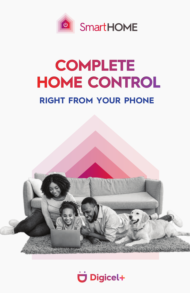

# **COMPLETE HOME CONTROL RIGHT FROM YOUR PHONE**



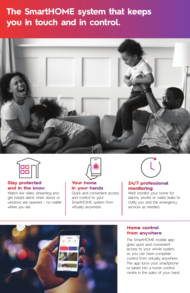## **The SmartHOME system that keeps you in touch and in control.**





#### **Stay protected and in the know**

Watch live video streaming and get instant alerts when doors or windows are opened – no matter where you are.



#### **Your home in your hands**

Quick and convenient access and control to your SmartHOME system from virtually anywhere.



#### **24/7 professional monitoring**

We'll monitor your home for alarms, smoke or water leaks to notify you and the emergency services as needed.



#### **Home control from anywhere**

The SmartHOME mobile app gives quick and convenient access to your whole system, so you can have complete control from virtually anywhere. The app turns your smartphone or tablet into a home control centre in the palm of your hand.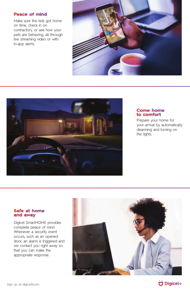#### **Peace of mind**

Make sure the kids got home on time, check in on contractors, or see how your pets are behaving, all through live streaming video or with in-app alerts.





#### **Come home to comfort**

Prepare your home for your arrival by automatically disarming and turning on the lights.

#### **Safe at home and away**

Digicel SmartHOME provides complete peace of mind. Whenever a security event occurs, such as an opened door, an alarm is triggered and we contact you right away so that you can make the appropriate response.





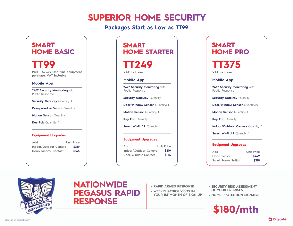# **SUPERIOR HOME SECURITY**

## **Packages Start as Low as TT99**

## **SMART HOME BASIC**

### **TT99 Plus + \$2,399 One-time equipment purchase. VAT Inclusive**

**Mobile App**

**24/7 Security Monitoring** with Public Response

**Security Gateway Quantity: 1** 

**Door/Window Sensor Quantity: 1** 

**Motion Sensor Quantity: 1** 

**Key Fob** Quantity: 1

#### **Equipment Upgrades**

| Add                   | <b>Unit Price</b> |
|-----------------------|-------------------|
| Indoor/Outdoor Camera | \$319             |
| Door/Window Contact   | \$165             |

## **SMART HOME STARTER**

**TT249**

**VAT Inclusive**

**Mobile App**

**24/7 Security Monitoring** with Public Response

**Security Gateway Quantity: 1** 

**Door/Window Sensor Quantity: 1** 

**Motion Sensor Quantity: 1** 

**Key Fob** Quantity: 1

**Smart Wi-Fi AP Quantity: 1** 

#### **Equipment Upgrades**

| Add                   | <b>Unit Price</b> |
|-----------------------|-------------------|
| Indoor/Outdoor Camera | \$319             |
| Door/Window Contact   | \$165             |

## **SMART HOME PRO**

# **TT375**

**VAT Inclusive**

#### **Mobile App**

**24/7 Security Monitoring with** Public Response

**Security Gateway Quantity: 1** 

**Door/Window Sensor Quantity: 4** 

**Motion Sensor Quantity: 1** 

**Key Fob** Quantity: 1

**Indoor/Outdoor Camera Quantity: 2** 

**Smart Wi-Fi AP Quantity: 1** 

#### **Equipment Upgrades**

**Add Unit Price Flood Sensor \$449 Smart Power Switch \$319**



## **NATIONWIDE PEGASUS RAPID RESPONSE**

- **RAPID ARMED RESPONSE**
- **WEEKLY PATROL VISITS IN YOUR 1ST MONTH OF SIGN UP**
- **SECURITY RISK ASSESSMENT OF YOUR PREMISES**
- **HOME PROTECTION SIGNAGE**

**\$180/mth**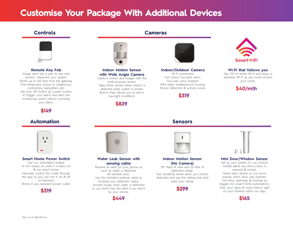# **Customise Your Package With Additional Devices**

### **Controls**



#### **Remote Key Fob**

Assign each fob a user to see who armed + disarmed your system. Works up to 100 feet from the gateway. Give temporary access to neighbours, contractors, babysitters, etc. Set your 4th button as a panic button to trigger your alarm and alert the monitoring centre without sounding your alarm.

### **\$149**

### **Automation**



#### **Smart Home Power Switch**

Use our automation engine to turn lamps on when it is dark out & you aren't home. Manually control the outlet through the app so you can turn it on & off on-demand. Works in any standard power outlet.





#### **Indoor Motion Sensor with Wide Angle Camera** Capture motion and images with this

multi-purpose sensor. Takes three photos when motion is detected while system is armed. Built-in flash allows you to see in low-light conditions.

**\$829**

**Water Leak Sensor with sensing cable** Receive an alert on your phone as soon as water is detected. 85-decibel siren. Use the included optional cable to increase your detection radius. Sounds loudly when water is detected so you don't miss the alert if you aren't by your phone. **\$449**



**Cameras**

**Indoor/Outdoor Camera** Wi-Fi connected. Full-colour, low-light vision. Two-way voice enabled. IP65-rated weatherproof housing. Person detection & activity zones.

**\$319**





#### **Indoor Motion Sensor (No Camera)**

110° field of view and 35 feet of detection range. Two sensitivity levels allow you control detection and use the setting that best meet your needs.





#### **Wi-Fi that follows you**

Say "Hi" to smart Wi-Fi and enjoy a seamless Wi-Fi as you move around your home.





#### **Mini Door/Window Sensor**

Set up your system so you receive mobile alerts any time a door is opened & closed. Name each device so you know exactly which door was opened. Use door openings & closings as triggers for smart home automations. View your open & close history right on your timeline within our app.